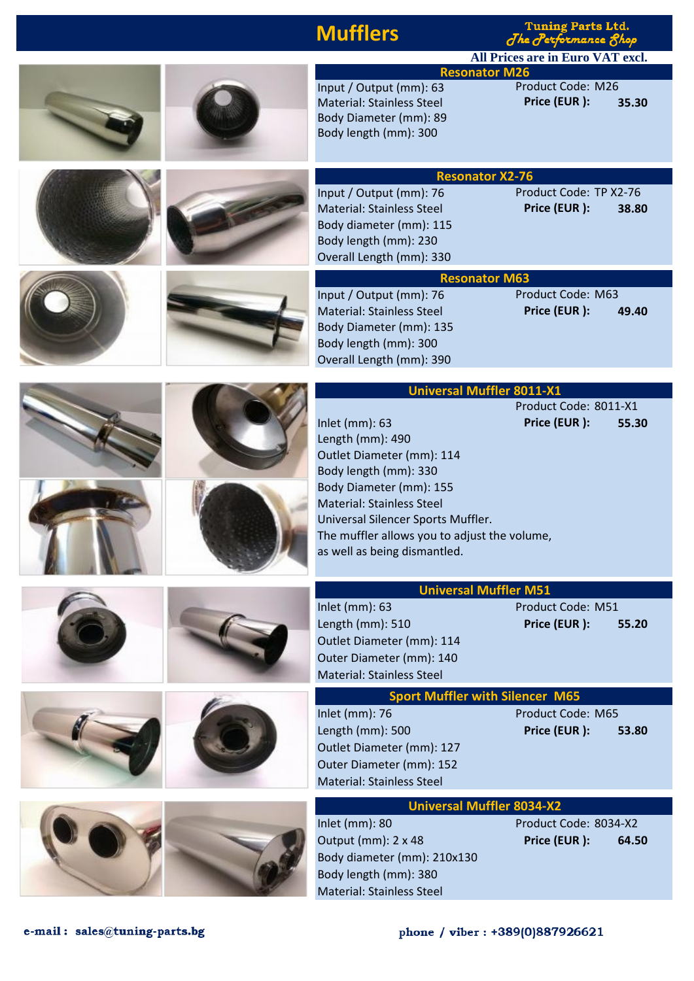| <b>Mufflers</b>                                                                                                                                                                                                                                                              | <b>Tuning Parts Ltd.</b><br>The Performance 8hop |  |
|------------------------------------------------------------------------------------------------------------------------------------------------------------------------------------------------------------------------------------------------------------------------------|--------------------------------------------------|--|
|                                                                                                                                                                                                                                                                              | <b>All Prices are in Euro VAT excl.</b>          |  |
| <b>Resonator M26</b>                                                                                                                                                                                                                                                         |                                                  |  |
| Input / Output (mm): 63<br><b>Material: Stainless Steel</b><br>Body Diameter (mm): 89<br>Body length (mm): 300                                                                                                                                                               | Product Code: M26<br>Price (EUR):<br>35.30       |  |
| <b>Resonator X2-76</b>                                                                                                                                                                                                                                                       |                                                  |  |
| Input / Output (mm): 76<br>Material: Stainless Steel<br>Body diameter (mm): 115<br>Body length (mm): 230<br>Overall Length (mm): 330                                                                                                                                         | Product Code: TP X2-76<br>Price (EUR):<br>38.80  |  |
| <b>Resonator M63</b>                                                                                                                                                                                                                                                         |                                                  |  |
| Input / Output (mm): 76<br>Material: Stainless Steel<br>Body Diameter (mm): 135<br>Body length (mm): 300<br>Overall Length (mm): 390                                                                                                                                         | Product Code: M63<br>Price (EUR):<br>49.40       |  |
| <b>Universal Muffler 8011-X1</b>                                                                                                                                                                                                                                             |                                                  |  |
| Inlet (mm): 63<br>Length (mm): 490<br>Outlet Diameter (mm): 114<br>Body length (mm): 330<br>Body Diameter (mm): 155<br><b>Material: Stainless Steel</b><br>Universal Silencer Sports Muffler.<br>The muffler allows you to adjust the volume<br>as well as being dismantled. | Product Code: 8011-X1<br>Price (EUR):<br>55.30   |  |
| <b>Universal Muffler M51</b>                                                                                                                                                                                                                                                 |                                                  |  |
| Inlet (mm): 63<br>Length (mm): 510<br>Outlet Diameter (mm): 114<br>Outer Diameter (mm): 140<br><b>Material: Stainless Steel</b>                                                                                                                                              | Product Code: M51<br>Price (EUR):<br>55.20       |  |
| <b>Sport Muffler with Silencer M65</b>                                                                                                                                                                                                                                       |                                                  |  |
| Inlet (mm): 76<br>Length (mm): 500<br>Outlet Diameter (mm): 127<br>Outer Diameter (mm): 152<br><b>Material: Stainless Steel</b>                                                                                                                                              | Product Code: M65<br>Price (EUR):<br>53.80       |  |
| <b>Universal Muffler 8034-X2</b>                                                                                                                                                                                                                                             |                                                  |  |
| Inlet (mm): 80<br>Output (mm): 2 x 48<br>Body diameter (mm): 210x130<br>Body length (mm): 380<br><b>Material: Stainless Steel</b>                                                                                                                                            | Product Code: 8034-X2<br>Price (EUR):<br>64.50   |  |